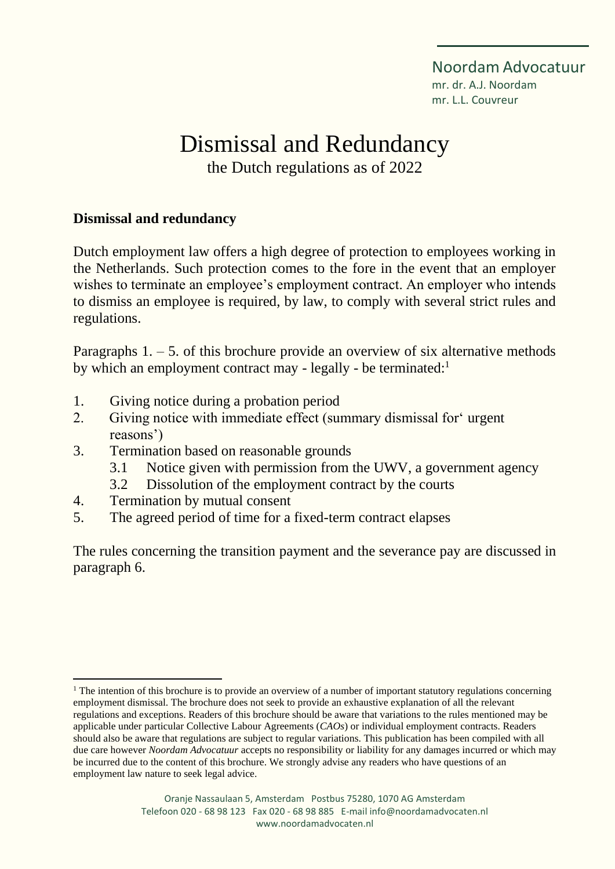Noordam Advocatuur mr. dr. A.J. Noordam mr. L.L. Couvreur

# Dismissal and Redundancy

the Dutch regulations as of 2022

#### **Dismissal and redundancy**

Dutch employment law offers a high degree of protection to employees working in the Netherlands. Such protection comes to the fore in the event that an employer wishes to terminate an employee's employment contract. An employer who intends to dismiss an employee is required, by law, to comply with several strict rules and regulations.

Paragraphs  $1. - 5$ . of this brochure provide an overview of six alternative methods by which an employment contract may - legally - be terminated:<sup>1</sup>

- 1. Giving notice during a probation period
- 2. Giving notice with immediate effect (summary dismissal for' urgent reasons')
- 3. Termination based on reasonable grounds
	- 3.1 Notice given with permission from the UWV, a government agency
	- 3.2 Dissolution of the employment contract by the courts
- 4. Termination by mutual consent
- 5. The agreed period of time for a fixed-term contract elapses

The rules concerning the transition payment and the severance pay are discussed in paragraph 6.

 $<sup>1</sup>$  The intention of this brochure is to provide an overview of a number of important statutory regulations concerning</sup> employment dismissal. The brochure does not seek to provide an exhaustive explanation of all the relevant regulations and exceptions. Readers of this brochure should be aware that variations to the rules mentioned may be applicable under particular Collective Labour Agreements (*CAOs*) or individual employment contracts. Readers should also be aware that regulations are subject to regular variations. This publication has been compiled with all due care however *Noordam Advocatuur* accepts no responsibility or liability for any damages incurred or which may be incurred due to the content of this brochure. We strongly advise any readers who have questions of an employment law nature to seek legal advice.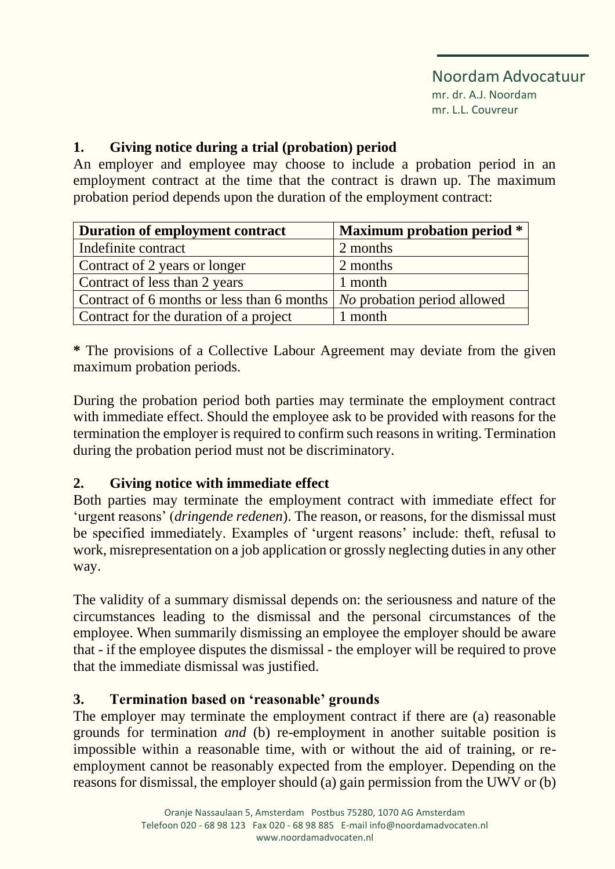# Noordam Advocatuur

mr. dr. A.J. Noordam mr. L.L. Couvreur

# **1. Giving notice during a trial (probation) period**

An employer and employee may choose to include a probation period in an employment contract at the time that the contract is drawn up. The maximum probation period depends upon the duration of the employment contract:

| Duration of employment contract                                          | <b>Maximum probation period *</b> |
|--------------------------------------------------------------------------|-----------------------------------|
| Indefinite contract                                                      | 2 months                          |
| Contract of 2 years or longer                                            | 2 months                          |
| Contract of less than 2 years                                            | 1 month                           |
| Contract of 6 months or less than 6 months   No probation period allowed |                                   |
| Contract for the duration of a project                                   | 1 month                           |

**\*** The provisions of a Collective Labour Agreement may deviate from the given maximum probation periods.

During the probation period both parties may terminate the employment contract with immediate effect. Should the employee ask to be provided with reasons for the termination the employer is required to confirm such reasons in writing. Termination during the probation period must not be discriminatory.

# **2. Giving notice with immediate effect**

Both parties may terminate the employment contract with immediate effect for 'urgent reasons' (*dringende redenen*). The reason, or reasons, for the dismissal must be specified immediately. Examples of 'urgent reasons' include: theft, refusal to work, misrepresentation on a job application or grossly neglecting duties in any other way.

The validity of a summary dismissal depends on: the seriousness and nature of the circumstances leading to the dismissal and the personal circumstances of the employee. When summarily dismissing an employee the employer should be aware that - if the employee disputes the dismissal - the employer will be required to prove that the immediate dismissal was justified.

# **3. Termination based on 'reasonable' grounds**

The employer may terminate the employment contract if there are (a) reasonable grounds for termination *and* (b) re-employment in another suitable position is impossible within a reasonable time, with or without the aid of training, or reemployment cannot be reasonably expected from the employer. Depending on the reasons for dismissal, the employer should (a) gain permission from the UWV or (b)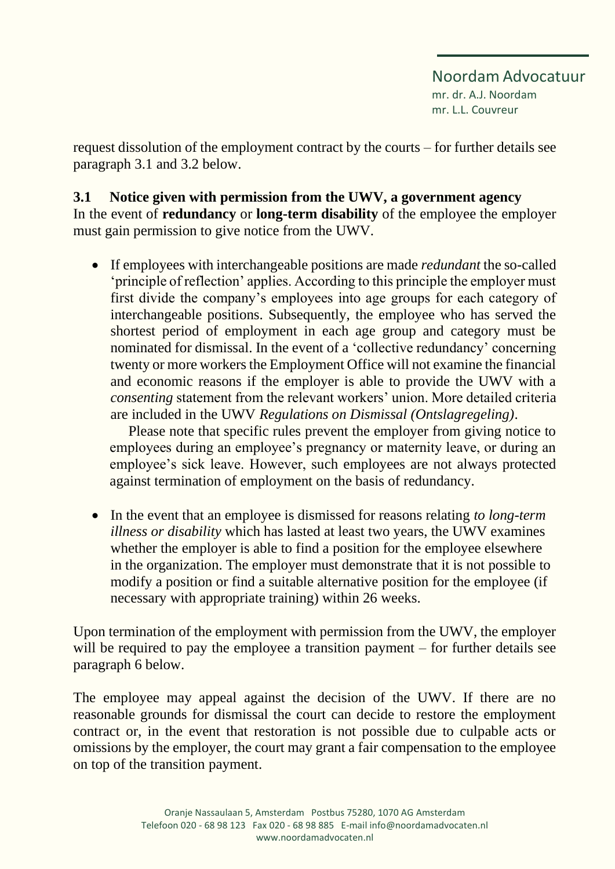Noordam Advocatuur mr. dr. A.J. Noordam mr. L.L. Couvreur

request dissolution of the employment contract by the courts – for further details see paragraph 3.1 and 3.2 below.

**3.1 Notice given with permission from the UWV, a government agency** In the event of **redundancy** or **long-term disability** of the employee the employer must gain permission to give notice from the UWV.

• If employees with interchangeable positions are made *redundant* the so-called 'principle of reflection' applies. According to this principle the employer must first divide the company's employees into age groups for each category of interchangeable positions. Subsequently, the employee who has served the shortest period of employment in each age group and category must be nominated for dismissal. In the event of a 'collective redundancy' concerning twenty or more workers the Employment Office will not examine the financial and economic reasons if the employer is able to provide the UWV with a *consenting* statement from the relevant workers' union. More detailed criteria are included in the UWV *Regulations on Dismissal (Ontslagregeling)*.

Please note that specific rules prevent the employer from giving notice to employees during an employee's pregnancy or maternity leave, or during an employee's sick leave. However, such employees are not always protected against termination of employment on the basis of redundancy.

• In the event that an employee is dismissed for reasons relating *to long-term illness or disability* which has lasted at least two years, the UWV examines whether the employer is able to find a position for the employee elsewhere in the organization. The employer must demonstrate that it is not possible to modify a position or find a suitable alternative position for the employee (if necessary with appropriate training) within 26 weeks.

Upon termination of the employment with permission from the UWV, the employer will be required to pay the employee a transition payment – for further details see paragraph 6 below.

The employee may appeal against the decision of the UWV. If there are no reasonable grounds for dismissal the court can decide to restore the employment contract or, in the event that restoration is not possible due to culpable acts or omissions by the employer, the court may grant a fair compensation to the employee on top of the transition payment.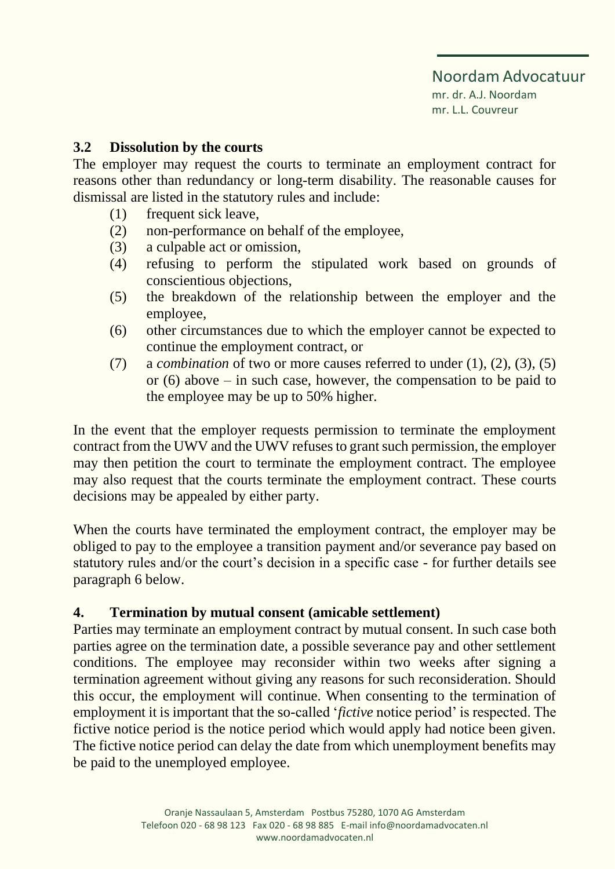mr. dr. A.J. Noordam mr. L.L. Couvreur

#### **3.2 Dissolution by the courts**

The employer may request the courts to terminate an employment contract for reasons other than redundancy or long-term disability. The reasonable causes for dismissal are listed in the statutory rules and include:

- (1) frequent sick leave,
- (2) non-performance on behalf of the employee,
- (3) a culpable act or omission,
- (4) refusing to perform the stipulated work based on grounds of conscientious objections,
- (5) the breakdown of the relationship between the employer and the employee,
- (6) other circumstances due to which the employer cannot be expected to continue the employment contract, or
- (7) a *combination* of two or more causes referred to under (1), (2), (3), (5) or (6) above – in such case, however, the compensation to be paid to the employee may be up to 50% higher.

In the event that the employer requests permission to terminate the employment contract from the UWV and the UWV refuses to grant such permission, the employer may then petition the court to terminate the employment contract. The employee may also request that the courts terminate the employment contract. These courts decisions may be appealed by either party.

When the courts have terminated the employment contract, the employer may be obliged to pay to the employee a transition payment and/or severance pay based on statutory rules and/or the court's decision in a specific case - for further details see paragraph 6 below.

#### **4. Termination by mutual consent (amicable settlement)**

Parties may terminate an employment contract by mutual consent. In such case both parties agree on the termination date, a possible severance pay and other settlement conditions. The employee may reconsider within two weeks after signing a termination agreement without giving any reasons for such reconsideration. Should this occur, the employment will continue. When consenting to the termination of employment it is important that the so-called '*fictive* notice period' is respected. The fictive notice period is the notice period which would apply had notice been given. The fictive notice period can delay the date from which unemployment benefits may be paid to the unemployed employee.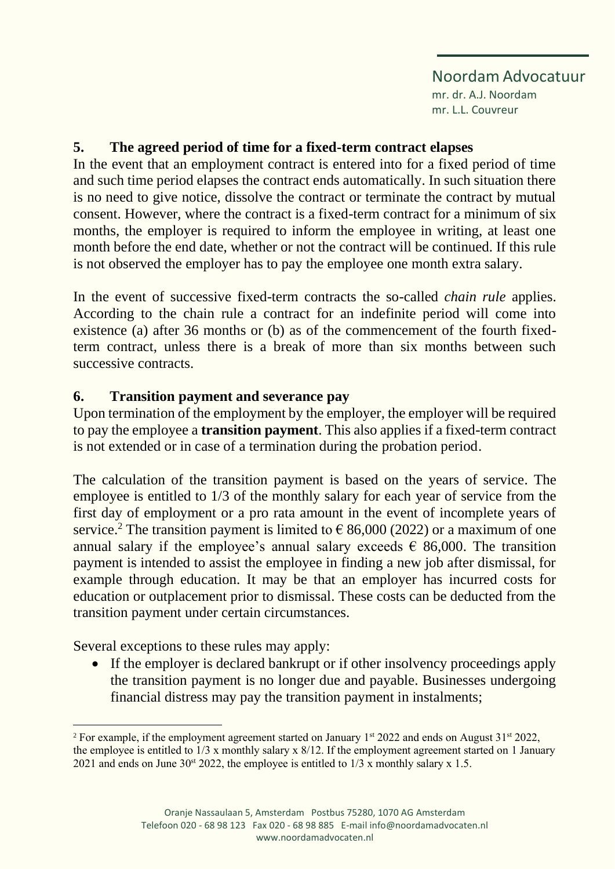#### Noordam Advocatuur mr. dr. A.J. Noordam

mr. L.L. Couvreur

# **5. The agreed period of time for a fixed-term contract elapses**

In the event that an employment contract is entered into for a fixed period of time and such time period elapses the contract ends automatically. In such situation there is no need to give notice, dissolve the contract or terminate the contract by mutual consent. However, where the contract is a fixed-term contract for a minimum of six months, the employer is required to inform the employee in writing, at least one month before the end date, whether or not the contract will be continued. If this rule is not observed the employer has to pay the employee one month extra salary.

In the event of successive fixed-term contracts the so-called *chain rule* applies. According to the chain rule a contract for an indefinite period will come into existence (a) after 36 months or (b) as of the commencement of the fourth fixedterm contract, unless there is a break of more than six months between such successive contracts.

# **6. Transition payment and severance pay**

Upon termination of the employment by the employer, the employer will be required to pay the employee a **transition payment**. This also applies if a fixed-term contract is not extended or in case of a termination during the probation period.

The calculation of the transition payment is based on the years of service. The employee is entitled to 1/3 of the monthly salary for each year of service from the first day of employment or a pro rata amount in the event of incomplete years of service.<sup>2</sup> The transition payment is limited to  $\epsilon$  86,000 (2022) or a maximum of one annual salary if the employee's annual salary exceeds  $\epsilon$  86,000. The transition payment is intended to assist the employee in finding a new job after dismissal, for example through education. It may be that an employer has incurred costs for education or outplacement prior to dismissal. These costs can be deducted from the transition payment under certain circumstances.

Several exceptions to these rules may apply:

• If the employer is declared bankrupt or if other insolvency proceedings apply the transition payment is no longer due and payable. Businesses undergoing financial distress may pay the transition payment in instalments;

<sup>&</sup>lt;sup>2</sup> For example, if the employment agreement started on January  $1<sup>st</sup> 2022$  and ends on August  $31<sup>st</sup> 2022$ , the employee is entitled to 1/3 x monthly salary x 8/12. If the employment agreement started on 1 January 2021 and ends on June  $30<sup>st</sup> 2022$ , the employee is entitled to  $1/3$  x monthly salary x 1.5.